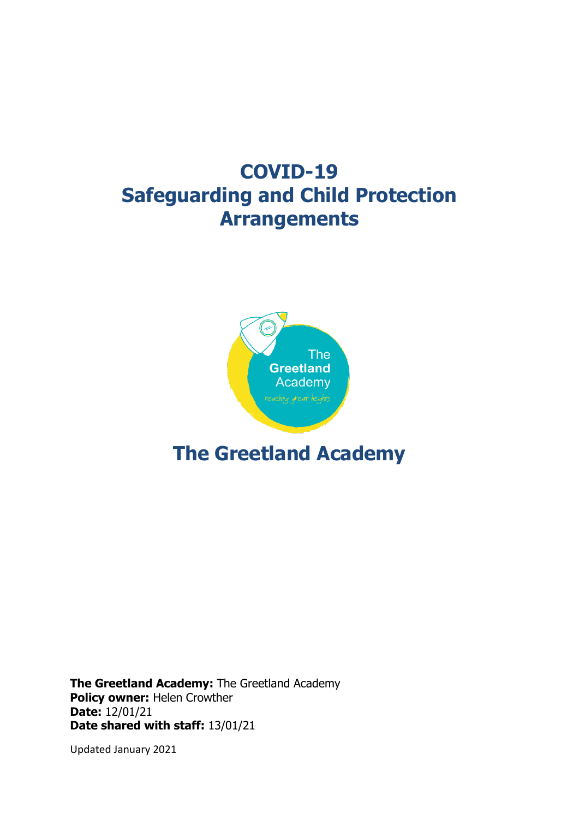# **COVID-19 Safeguarding and Child Protection Arrangements**



## **The Greetland Academy**

**The Greetland Academy:** The Greetland Academy **Policy owner:** Helen Crowther **Date:** 12/01/21 **Date shared with staff:** 13/01/21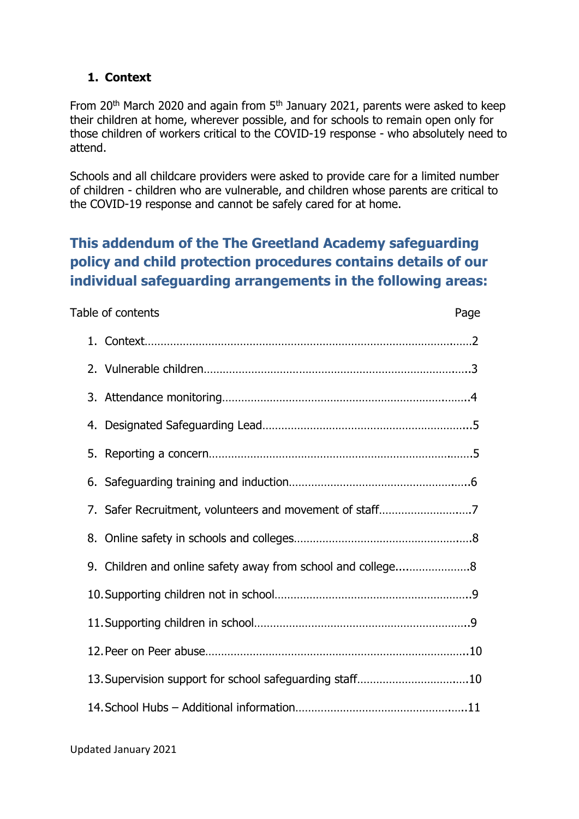#### **1. Context**

From 20<sup>th</sup> March 2020 and again from 5<sup>th</sup> January 2021, parents were asked to keep their children at home, wherever possible, and for schools to remain open only for those children of workers critical to the COVID-19 response - who absolutely need to attend.

Schools and all childcare providers were asked to provide care for a limited number of children - children who are vulnerable, and children whose parents are critical to the COVID-19 response and cannot be safely cared for at home.

## **This addendum of the The Greetland Academy safeguarding policy and child protection procedures contains details of our individual safeguarding arrangements in the following areas:**

| Table of contents                                       | Page |
|---------------------------------------------------------|------|
|                                                         |      |
|                                                         |      |
|                                                         |      |
|                                                         |      |
|                                                         |      |
|                                                         |      |
| 7. Safer Recruitment, volunteers and movement of staff7 |      |
|                                                         |      |
|                                                         |      |
|                                                         |      |
|                                                         |      |
|                                                         |      |
| 13. Supervision support for school safeguarding staff10 |      |
|                                                         |      |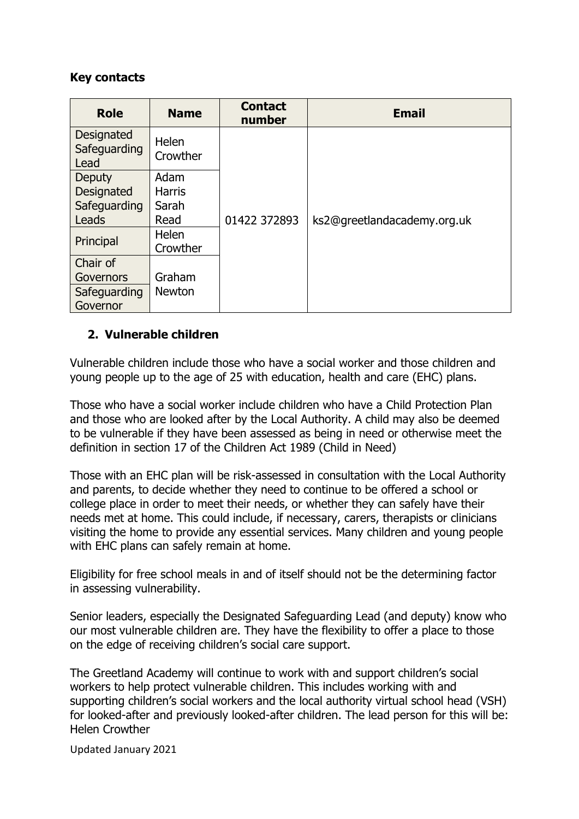#### **Key contacts**

| <b>Role</b>                        | <b>Name</b>       | <b>Contact</b><br>number | <b>Email</b>                |  |
|------------------------------------|-------------------|--------------------------|-----------------------------|--|
| Designated<br>Safeguarding<br>Lead | Helen<br>Crowther |                          |                             |  |
| <b>Deputy</b>                      | Adam              |                          |                             |  |
| <b>Designated</b>                  | <b>Harris</b>     |                          |                             |  |
| Safeguarding                       | Sarah             |                          |                             |  |
| Leads                              | Read              | 01422 372893             | ks2@greetlandacademy.org.uk |  |
| Principal                          | <b>Helen</b>      |                          |                             |  |
|                                    | Crowther          |                          |                             |  |
| Chair of                           |                   |                          |                             |  |
| Governors                          | Graham            |                          |                             |  |
| Safeguarding                       | <b>Newton</b>     |                          |                             |  |
| Governor                           |                   |                          |                             |  |

#### **2. Vulnerable children**

Vulnerable children include those who have a social worker and those children and young people up to the age of 25 with education, health and care (EHC) plans.

Those who have a social worker include children who have a Child Protection Plan and those who are looked after by the Local Authority. A child may also be deemed to be vulnerable if they have been assessed as being in need or otherwise meet the definition in section 17 of the Children Act 1989 (Child in Need)

Those with an EHC plan will be risk-assessed in consultation with the Local Authority and parents, to decide whether they need to continue to be offered a school or college place in order to meet their needs, or whether they can safely have their needs met at home. This could include, if necessary, carers, therapists or clinicians visiting the home to provide any essential services. Many children and young people with EHC plans can safely remain at home.

Eligibility for free school meals in and of itself should not be the determining factor in assessing vulnerability.

Senior leaders, especially the Designated Safeguarding Lead (and deputy) know who our most vulnerable children are. They have the flexibility to offer a place to those on the edge of receiving children's social care support.

The Greetland Academy will continue to work with and support children's social workers to help protect vulnerable children. This includes working with and supporting children's social workers and the local authority virtual school head (VSH) for looked-after and previously looked-after children. The lead person for this will be: Helen Crowther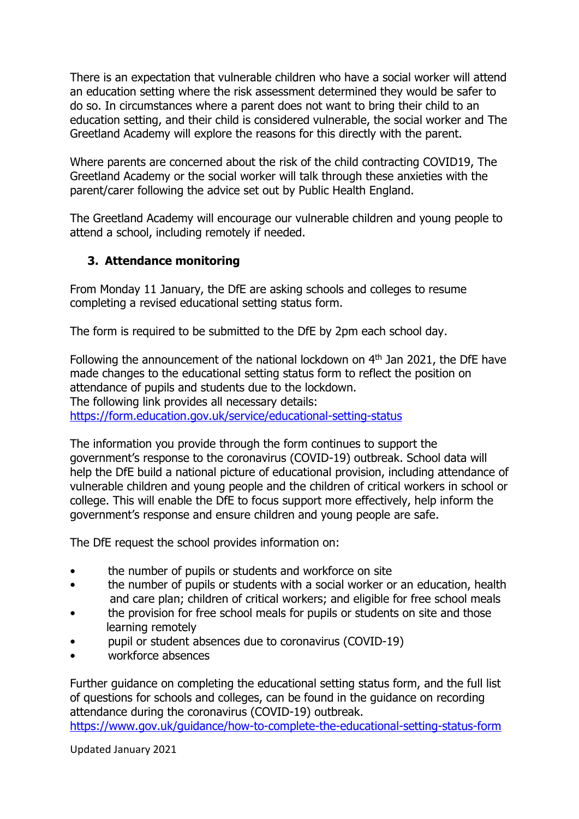There is an expectation that vulnerable children who have a social worker will attend an education setting where the risk assessment determined they would be safer to do so. In circumstances where a parent does not want to bring their child to an education setting, and their child is considered vulnerable, the social worker and The Greetland Academy will explore the reasons for this directly with the parent.

Where parents are concerned about the risk of the child contracting COVID19, The Greetland Academy or the social worker will talk through these anxieties with the parent/carer following the advice set out by Public Health England.

The Greetland Academy will encourage our vulnerable children and young people to attend a school, including remotely if needed.

#### **3. Attendance monitoring**

From Monday 11 January, the DfE are asking schools and colleges to resume completing a revised educational setting status form.

The form is required to be submitted to the DfE by 2pm each school day.

Following the announcement of the national lockdown on 4<sup>th</sup> Jan 2021, the DfE have made changes to the educational setting status form to reflect the position on attendance of pupils and students due to the lockdown. The following link provides all necessary details: <https://form.education.gov.uk/service/educational-setting-status>

The information you provide through the form continues to support the government's response to the coronavirus (COVID-19) outbreak. School data will help the DfE build a national picture of educational provision, including attendance of vulnerable children and young people and the children of critical workers in school or college. This will enable the DfE to focus support more effectively, help inform the government's response and ensure children and young people are safe.

The DfE request the school provides information on:

- the number of pupils or students and workforce on site
- the number of pupils or students with a social worker or an education, health and care plan; children of critical workers; and eligible for free school meals
- the provision for free school meals for pupils or students on site and those learning remotely
- pupil or student absences due to coronavirus (COVID-19)
- workforce absences

Further guidance on completing the educational setting status form, and the full list of questions for schools and colleges, can be found in the guidance on recording attendance during the coronavirus (COVID-19) outbreak. <https://www.gov.uk/guidance/how-to-complete-the-educational-setting-status-form>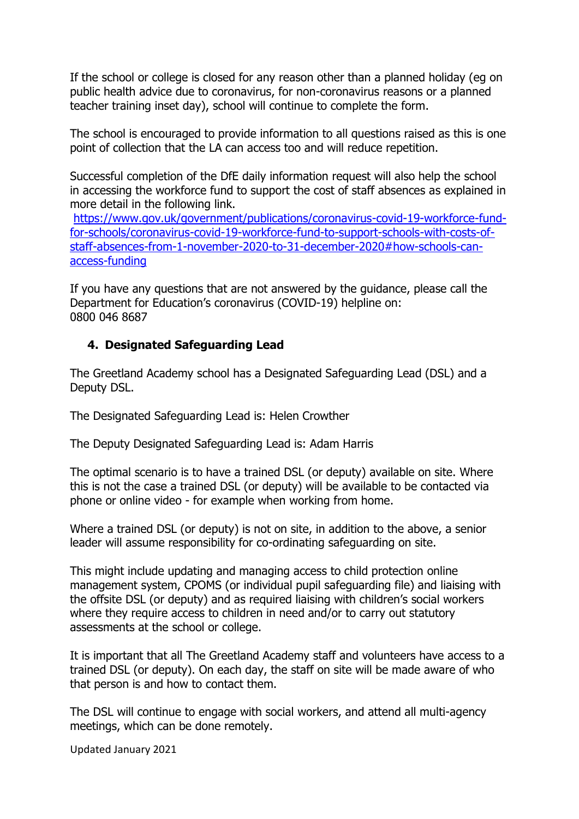If the school or college is closed for any reason other than a planned holiday (eg on public health advice due to coronavirus, for non-coronavirus reasons or a planned teacher training inset day), school will continue to complete the form.

The school is encouraged to provide information to all questions raised as this is one point of collection that the LA can access too and will reduce repetition.

Successful completion of the DfE daily information request will also help the school in accessing the workforce fund to support the cost of staff absences as explained in more detail in the following link.

[https://www.gov.uk/government/publications/coronavirus-covid-19-workforce-fund](https://www.gov.uk/government/publications/coronavirus-covid-19-workforce-fund-for-schools/coronavirus-covid-19-workforce-fund-to-support-schools-with-costs-of-staff-absences-from-1-november-2020-to-31-december-2020#how-schools-can-access-funding)[for-schools/coronavirus-covid-19-workforce-fund-to-support-schools-with-costs-of](https://www.gov.uk/government/publications/coronavirus-covid-19-workforce-fund-for-schools/coronavirus-covid-19-workforce-fund-to-support-schools-with-costs-of-staff-absences-from-1-november-2020-to-31-december-2020#how-schools-can-access-funding)[staff-absences-from-1-november-2020-to-31-december-2020#how-schools-can](https://www.gov.uk/government/publications/coronavirus-covid-19-workforce-fund-for-schools/coronavirus-covid-19-workforce-fund-to-support-schools-with-costs-of-staff-absences-from-1-november-2020-to-31-december-2020#how-schools-can-access-funding)[access-funding](https://www.gov.uk/government/publications/coronavirus-covid-19-workforce-fund-for-schools/coronavirus-covid-19-workforce-fund-to-support-schools-with-costs-of-staff-absences-from-1-november-2020-to-31-december-2020#how-schools-can-access-funding) 

If you have any questions that are not answered by the guidance, please call the Department for Education's coronavirus (COVID-19) helpline on: 0800 046 8687

#### **4. Designated Safeguarding Lead**

The Greetland Academy school has a Designated Safeguarding Lead (DSL) and a Deputy DSL.

The Designated Safeguarding Lead is: Helen Crowther

The Deputy Designated Safeguarding Lead is: Adam Harris

The optimal scenario is to have a trained DSL (or deputy) available on site. Where this is not the case a trained DSL (or deputy) will be available to be contacted via phone or online video - for example when working from home.

Where a trained DSL (or deputy) is not on site, in addition to the above, a senior leader will assume responsibility for co-ordinating safeguarding on site.

This might include updating and managing access to child protection online management system, CPOMS (or individual pupil safeguarding file) and liaising with the offsite DSL (or deputy) and as required liaising with children's social workers where they require access to children in need and/or to carry out statutory assessments at the school or college.

It is important that all The Greetland Academy staff and volunteers have access to a trained DSL (or deputy). On each day, the staff on site will be made aware of who that person is and how to contact them.

The DSL will continue to engage with social workers, and attend all multi-agency meetings, which can be done remotely.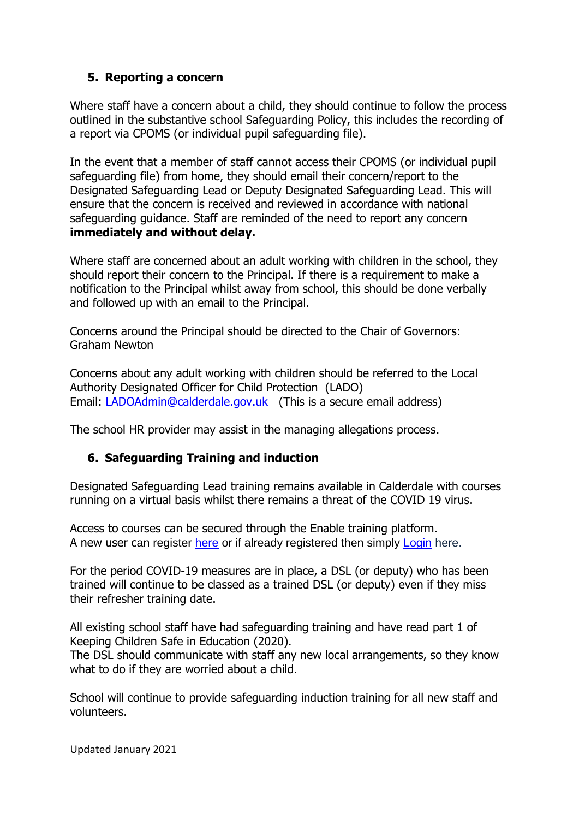#### **5. Reporting a concern**

Where staff have a concern about a child, they should continue to follow the process outlined in the substantive school Safeguarding Policy, this includes the recording of a report via CPOMS (or individual pupil safeguarding file).

In the event that a member of staff cannot access their CPOMS (or individual pupil safeguarding file) from home, they should email their concern/report to the Designated Safeguarding Lead or Deputy Designated Safeguarding Lead. This will ensure that the concern is received and reviewed in accordance with national safeguarding guidance. Staff are reminded of the need to report any concern **immediately and without delay.** 

Where staff are concerned about an adult working with children in the school, they should report their concern to the Principal. If there is a requirement to make a notification to the Principal whilst away from school, this should be done verbally and followed up with an email to the Principal.

Concerns around the Principal should be directed to the Chair of Governors: Graham Newton

Concerns about any adult working with children should be referred to the Local Authority Designated Officer for Child Protection (LADO) Email: [LADOAdmin@calderdale.gov.uk](mailto:LADOAdmin@calderdale.gov.uk) (This is a secure email address)

The school HR provider may assist in the managing allegations process.

#### **6. Safeguarding Training and induction**

Designated Safeguarding Lead training remains available in Calderdale with courses running on a virtual basis whilst there remains a threat of the COVID 19 virus.

Access to courses can be secured through the Enable training platform. A new user can register [here](https://calderdalescp.vc-enable.co.uk/register) or if already registered then simply [Login](https://calderdalescp.vc-enable.co.uk/Login/Login?ReturnUrl=%2f) here.

For the period COVID-19 measures are in place, a DSL (or deputy) who has been trained will continue to be classed as a trained DSL (or deputy) even if they miss their refresher training date.

All existing school staff have had safeguarding training and have read part 1 of Keeping Children Safe in Education (2020).

The DSL should communicate with staff any new local arrangements, so they know what to do if they are worried about a child.

School will continue to provide safeguarding induction training for all new staff and volunteers.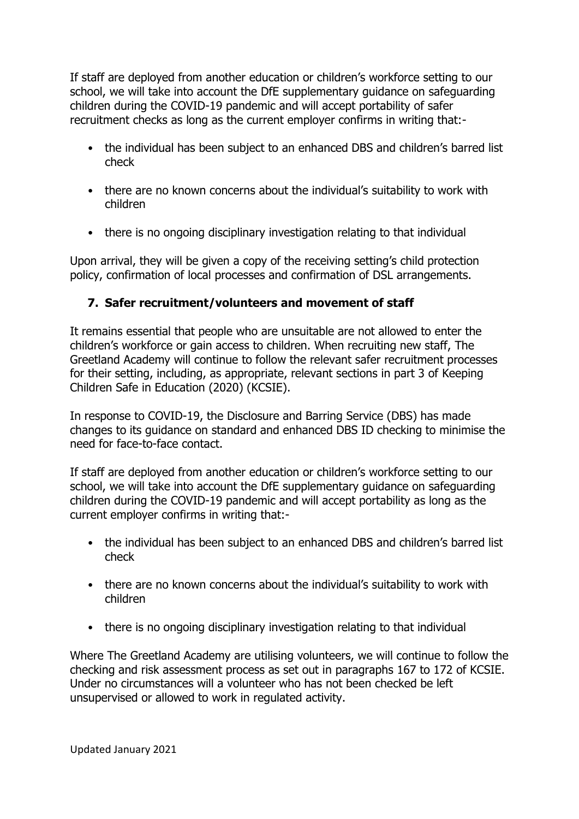If staff are deployed from another education or children's workforce setting to our school, we will take into account the DfE supplementary guidance on safeguarding children during the COVID-19 pandemic and will accept portability of safer recruitment checks as long as the current employer confirms in writing that:-

- the individual has been subject to an enhanced DBS and children's barred list check
- there are no known concerns about the individual's suitability to work with children
- there is no ongoing disciplinary investigation relating to that individual

Upon arrival, they will be given a copy of the receiving setting's child protection policy, confirmation of local processes and confirmation of DSL arrangements.

#### **7. Safer recruitment/volunteers and movement of staff**

It remains essential that people who are unsuitable are not allowed to enter the children's workforce or gain access to children. When recruiting new staff, The Greetland Academy will continue to follow the relevant safer recruitment processes for their setting, including, as appropriate, relevant sections in part 3 of Keeping Children Safe in Education (2020) (KCSIE).

In response to COVID-19, the Disclosure and Barring Service (DBS) has made changes to its guidance on standard and enhanced DBS ID checking to minimise the need for face-to-face contact.

If staff are deployed from another education or children's workforce setting to our school, we will take into account the DfE supplementary guidance on safeguarding children during the COVID-19 pandemic and will accept portability as long as the current employer confirms in writing that:-

- the individual has been subject to an enhanced DBS and children's barred list check
- there are no known concerns about the individual's suitability to work with children
- there is no ongoing disciplinary investigation relating to that individual

Where The Greetland Academy are utilising volunteers, we will continue to follow the checking and risk assessment process as set out in paragraphs 167 to 172 of KCSIE. Under no circumstances will a volunteer who has not been checked be left unsupervised or allowed to work in regulated activity.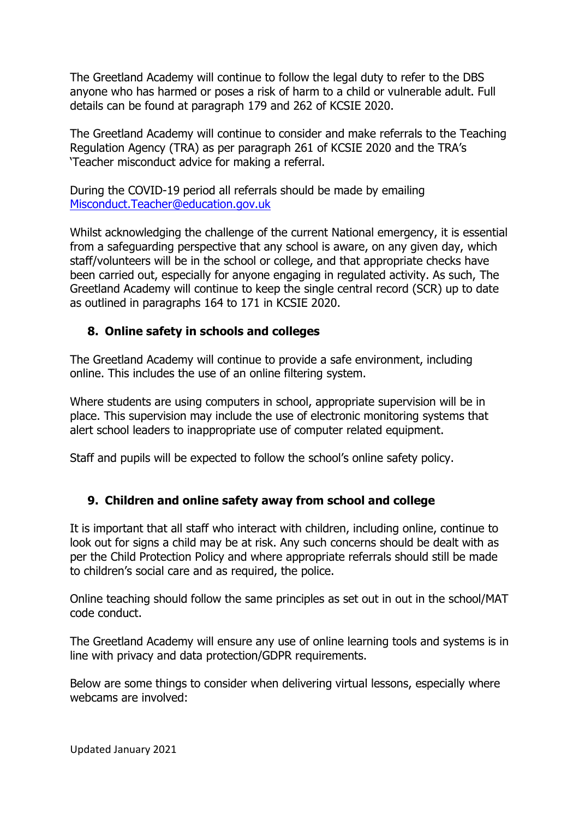The Greetland Academy will continue to follow the legal duty to refer to the DBS anyone who has harmed or poses a risk of harm to a child or vulnerable adult. Full details can be found at paragraph 179 and 262 of KCSIE 2020.

The Greetland Academy will continue to consider and make referrals to the Teaching Regulation Agency (TRA) as per paragraph 261 of KCSIE 2020 and the TRA's 'Teacher misconduct advice for making a referral.

During the COVID-19 period all referrals should be made by emailing [Misconduct.Teacher@education.gov.uk](mailto:Misconduct.Teacher@education.gov.uk)

Whilst acknowledging the challenge of the current National emergency, it is essential from a safeguarding perspective that any school is aware, on any given day, which staff/volunteers will be in the school or college, and that appropriate checks have been carried out, especially for anyone engaging in regulated activity. As such, The Greetland Academy will continue to keep the single central record (SCR) up to date as outlined in paragraphs 164 to 171 in KCSIE 2020.

#### **8. Online safety in schools and colleges**

The Greetland Academy will continue to provide a safe environment, including online. This includes the use of an online filtering system.

Where students are using computers in school, appropriate supervision will be in place. This supervision may include the use of electronic monitoring systems that alert school leaders to inappropriate use of computer related equipment.

Staff and pupils will be expected to follow the school's online safety policy.

#### **9. Children and online safety away from school and college**

It is important that all staff who interact with children, including online, continue to look out for signs a child may be at risk. Any such concerns should be dealt with as per the Child Protection Policy and where appropriate referrals should still be made to children's social care and as required, the police.

Online teaching should follow the same principles as set out in out in the school/MAT code conduct.

The Greetland Academy will ensure any use of online learning tools and systems is in line with privacy and data protection/GDPR requirements.

Below are some things to consider when delivering virtual lessons, especially where webcams are involved: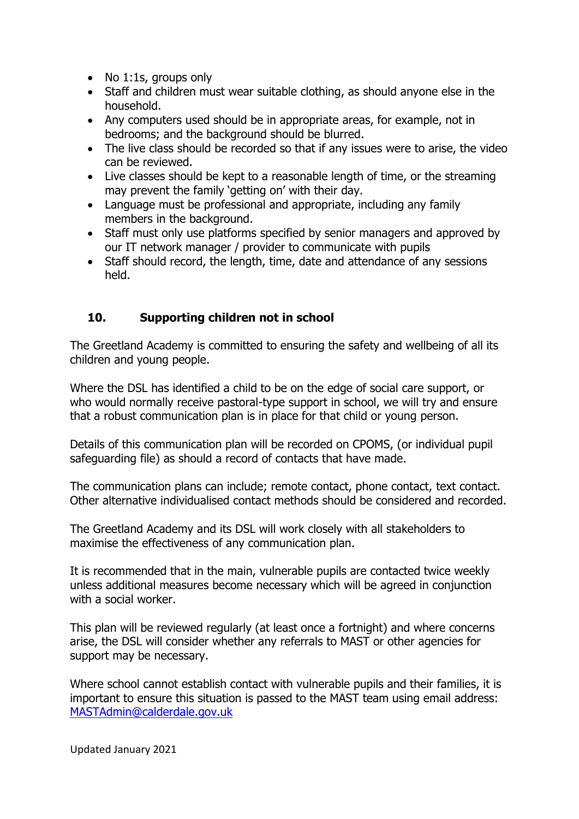- No 1:1s, groups only
- Staff and children must wear suitable clothing, as should anyone else in the household.
- Any computers used should be in appropriate areas, for example, not in bedrooms; and the background should be blurred.
- The live class should be recorded so that if any issues were to arise, the video can be reviewed.
- Live classes should be kept to a reasonable length of time, or the streaming may prevent the family 'getting on' with their day.
- Language must be professional and appropriate, including any family members in the background.
- Staff must only use platforms specified by senior managers and approved by our IT network manager / provider to communicate with pupils
- Staff should record, the length, time, date and attendance of any sessions held.

#### **10. Supporting children not in school**

The Greetland Academy is committed to ensuring the safety and wellbeing of all its children and young people.

Where the DSL has identified a child to be on the edge of social care support, or who would normally receive pastoral-type support in school, we will try and ensure that a robust communication plan is in place for that child or young person.

Details of this communication plan will be recorded on CPOMS, (or individual pupil safeguarding file) as should a record of contacts that have made.

The communication plans can include; remote contact, phone contact, text contact. Other alternative individualised contact methods should be considered and recorded.

The Greetland Academy and its DSL will work closely with all stakeholders to maximise the effectiveness of any communication plan.

It is recommended that in the main, vulnerable pupils are contacted twice weekly unless additional measures become necessary which will be agreed in conjunction with a social worker.

This plan will be reviewed regularly (at least once a fortnight) and where concerns arise, the DSL will consider whether any referrals to MAST or other agencies for support may be necessary.

Where school cannot establish contact with vulnerable pupils and their families, it is important to ensure this situation is passed to the MAST team using email address: [MASTAdmin@calderdale.gov.uk](mailto:MASTAdmin@calderdale.gov.uk)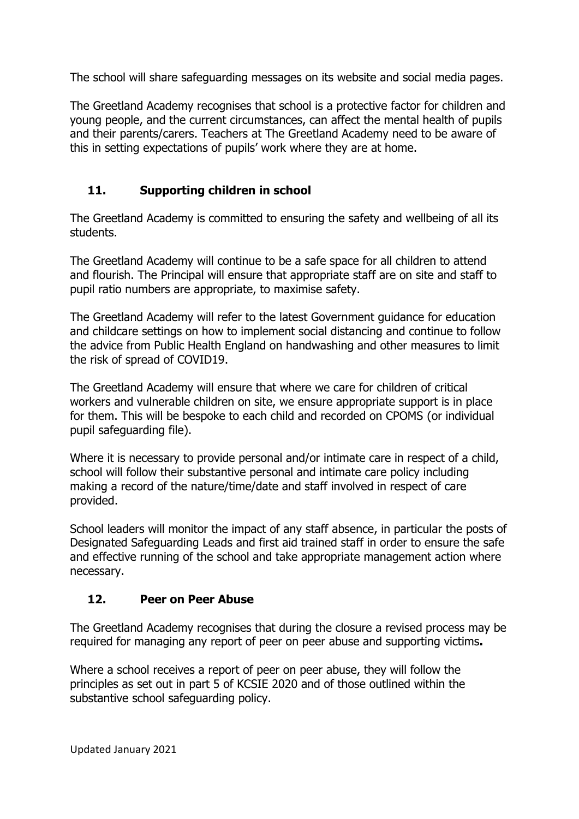The school will share safeguarding messages on its website and social media pages.

The Greetland Academy recognises that school is a protective factor for children and young people, and the current circumstances, can affect the mental health of pupils and their parents/carers. Teachers at The Greetland Academy need to be aware of this in setting expectations of pupils' work where they are at home.

### **11. Supporting children in school**

The Greetland Academy is committed to ensuring the safety and wellbeing of all its students.

The Greetland Academy will continue to be a safe space for all children to attend and flourish. The Principal will ensure that appropriate staff are on site and staff to pupil ratio numbers are appropriate, to maximise safety.

The Greetland Academy will refer to the latest Government guidance for education and childcare settings on how to implement social distancing and continue to follow the advice from Public Health England on handwashing and other measures to limit the risk of spread of COVID19.

The Greetland Academy will ensure that where we care for children of critical workers and vulnerable children on site, we ensure appropriate support is in place for them. This will be bespoke to each child and recorded on CPOMS (or individual pupil safeguarding file).

Where it is necessary to provide personal and/or intimate care in respect of a child, school will follow their substantive personal and intimate care policy including making a record of the nature/time/date and staff involved in respect of care provided.

School leaders will monitor the impact of any staff absence, in particular the posts of Designated Safeguarding Leads and first aid trained staff in order to ensure the safe and effective running of the school and take appropriate management action where necessary.

### **12. Peer on Peer Abuse**

The Greetland Academy recognises that during the closure a revised process may be required for managing any report of peer on peer abuse and supporting victims**.** 

Where a school receives a report of peer on peer abuse, they will follow the principles as set out in part 5 of KCSIE 2020 and of those outlined within the substantive school safeguarding policy.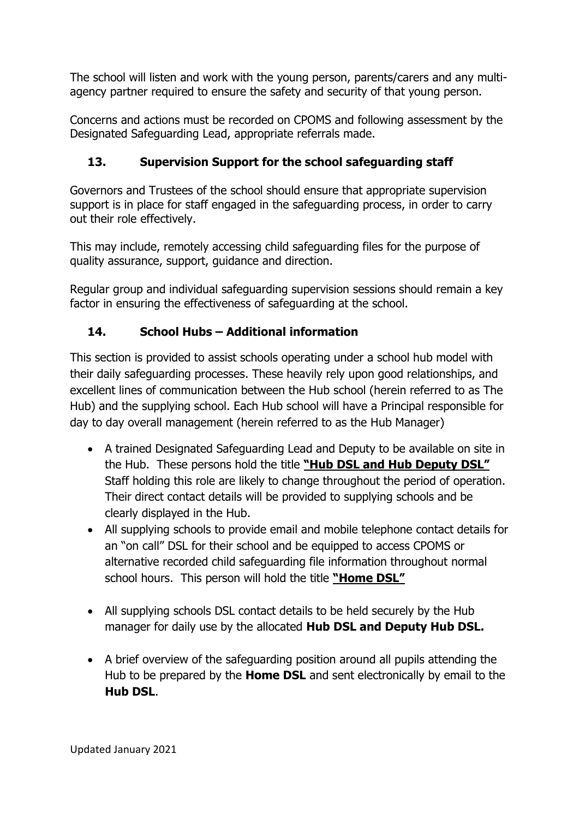The school will listen and work with the young person, parents/carers and any multiagency partner required to ensure the safety and security of that young person.

Concerns and actions must be recorded on CPOMS and following assessment by the Designated Safeguarding Lead, appropriate referrals made.

### **13. Supervision Support for the school safeguarding staff**

Governors and Trustees of the school should ensure that appropriate supervision support is in place for staff engaged in the safeguarding process, in order to carry out their role effectively.

This may include, remotely accessing child safeguarding files for the purpose of quality assurance, support, guidance and direction.

Regular group and individual safeguarding supervision sessions should remain a key factor in ensuring the effectiveness of safeguarding at the school.

### **14. School Hubs – Additional information**

This section is provided to assist schools operating under a school hub model with their daily safeguarding processes. These heavily rely upon good relationships, and excellent lines of communication between the Hub school (herein referred to as The Hub) and the supplying school. Each Hub school will have a Principal responsible for day to day overall management (herein referred to as the Hub Manager)

- A trained Designated Safeguarding Lead and Deputy to be available on site in the Hub. These persons hold the title **"Hub DSL and Hub Deputy DSL"**  Staff holding this role are likely to change throughout the period of operation. Their direct contact details will be provided to supplying schools and be clearly displayed in the Hub.
- All supplying schools to provide email and mobile telephone contact details for an "on call" DSL for their school and be equipped to access CPOMS or alternative recorded child safeguarding file information throughout normal school hours. This person will hold the title **"Home DSL"**
- All supplying schools DSL contact details to be held securely by the Hub manager for daily use by the allocated **Hub DSL and Deputy Hub DSL.**
- A brief overview of the safeguarding position around all pupils attending the Hub to be prepared by the **Home DSL** and sent electronically by email to the **Hub DSL**.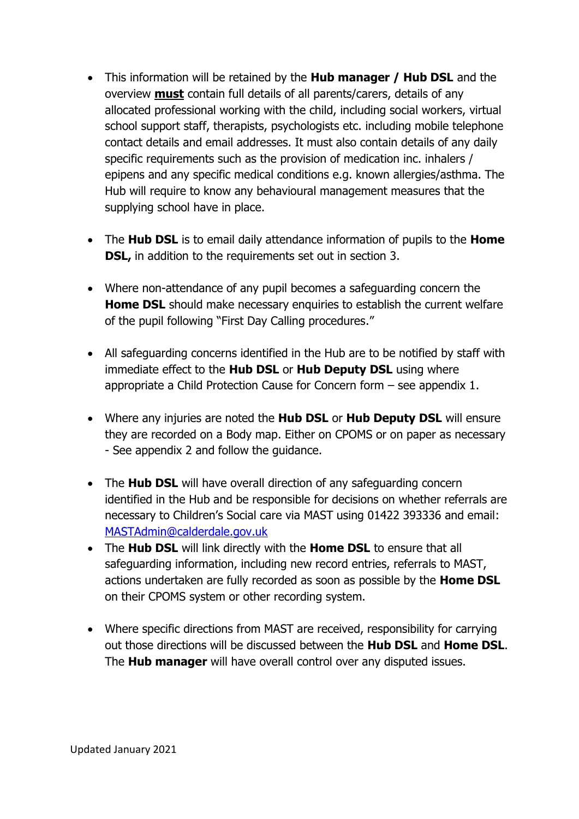- This information will be retained by the **Hub manager / Hub DSL** and the overview **must** contain full details of all parents/carers, details of any allocated professional working with the child, including social workers, virtual school support staff, therapists, psychologists etc. including mobile telephone contact details and email addresses. It must also contain details of any daily specific requirements such as the provision of medication inc. inhalers / epipens and any specific medical conditions e.g. known allergies/asthma. The Hub will require to know any behavioural management measures that the supplying school have in place.
- The **Hub DSL** is to email daily attendance information of pupils to the **Home DSL,** in addition to the requirements set out in section 3.
- Where non-attendance of any pupil becomes a safeguarding concern the **Home DSL** should make necessary enquiries to establish the current welfare of the pupil following "First Day Calling procedures."
- All safeguarding concerns identified in the Hub are to be notified by staff with immediate effect to the **Hub DSL** or **Hub Deputy DSL** using where appropriate a Child Protection Cause for Concern form – see appendix 1.
- Where any injuries are noted the **Hub DSL** or **Hub Deputy DSL** will ensure they are recorded on a Body map. Either on CPOMS or on paper as necessary - See appendix 2 and follow the guidance.
- The **Hub DSL** will have overall direction of any safeguarding concern identified in the Hub and be responsible for decisions on whether referrals are necessary to Children's Social care via MAST using 01422 393336 and email: [MASTAdmin@calderdale.gov.uk](mailto:MASTAdmin@calderdale.gov.uk)
- The **Hub DSL** will link directly with the **Home DSL** to ensure that all safeguarding information, including new record entries, referrals to MAST, actions undertaken are fully recorded as soon as possible by the **Home DSL** on their CPOMS system or other recording system.
- Where specific directions from MAST are received, responsibility for carrying out those directions will be discussed between the **Hub DSL** and **Home DSL**. The **Hub manager** will have overall control over any disputed issues.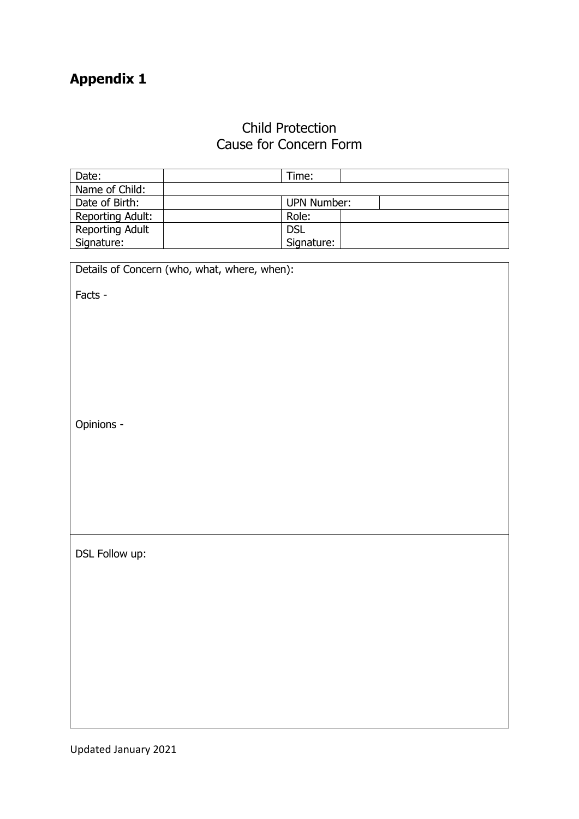## **Appendix 1**

## Child Protection Cause for Concern Form

| Date:            | Time:                                        |  |  |  |  |
|------------------|----------------------------------------------|--|--|--|--|
| Name of Child:   |                                              |  |  |  |  |
| Date of Birth:   | <b>UPN Number:</b>                           |  |  |  |  |
| Reporting Adult: | Role:                                        |  |  |  |  |
| Reporting Adult  | <b>DSL</b>                                   |  |  |  |  |
| Signature:       | Signature:                                   |  |  |  |  |
|                  |                                              |  |  |  |  |
|                  | Details of Concern (who, what, where, when): |  |  |  |  |
|                  |                                              |  |  |  |  |
| Facts -          |                                              |  |  |  |  |
|                  |                                              |  |  |  |  |
|                  |                                              |  |  |  |  |
|                  |                                              |  |  |  |  |
|                  |                                              |  |  |  |  |
|                  |                                              |  |  |  |  |
|                  |                                              |  |  |  |  |
|                  |                                              |  |  |  |  |
|                  |                                              |  |  |  |  |
| Opinions -       |                                              |  |  |  |  |
|                  |                                              |  |  |  |  |
|                  |                                              |  |  |  |  |
|                  |                                              |  |  |  |  |
|                  |                                              |  |  |  |  |
|                  |                                              |  |  |  |  |
|                  |                                              |  |  |  |  |
|                  |                                              |  |  |  |  |
|                  |                                              |  |  |  |  |
| DSL Follow up:   |                                              |  |  |  |  |
|                  |                                              |  |  |  |  |
|                  |                                              |  |  |  |  |
|                  |                                              |  |  |  |  |
|                  |                                              |  |  |  |  |
|                  |                                              |  |  |  |  |
|                  |                                              |  |  |  |  |
|                  |                                              |  |  |  |  |
|                  |                                              |  |  |  |  |
|                  |                                              |  |  |  |  |
|                  |                                              |  |  |  |  |
|                  |                                              |  |  |  |  |
|                  |                                              |  |  |  |  |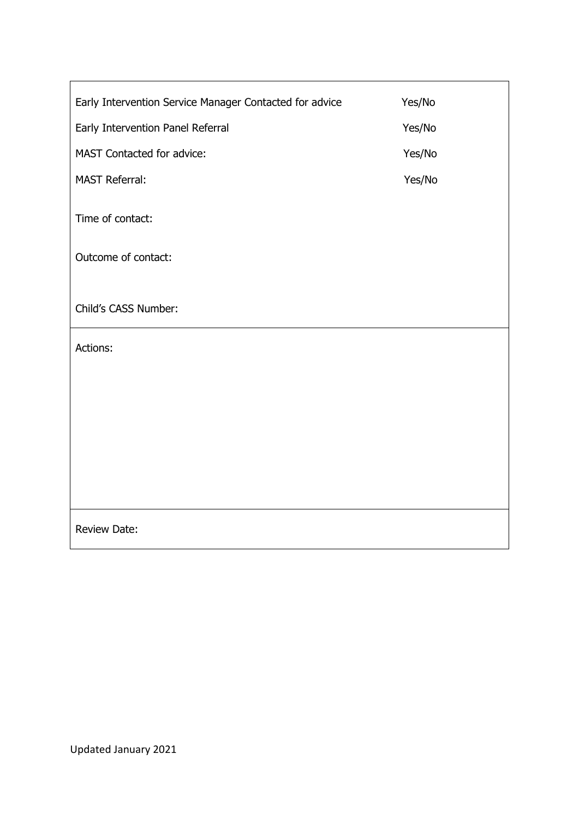| Early Intervention Service Manager Contacted for advice | Yes/No |
|---------------------------------------------------------|--------|
| Early Intervention Panel Referral                       | Yes/No |
| MAST Contacted for advice:                              | Yes/No |
| <b>MAST Referral:</b>                                   | Yes/No |
| Time of contact:                                        |        |
| Outcome of contact:                                     |        |
|                                                         |        |
| Child's CASS Number:                                    |        |
| Actions:                                                |        |
|                                                         |        |
|                                                         |        |
|                                                         |        |
|                                                         |        |
|                                                         |        |
| Review Date:                                            |        |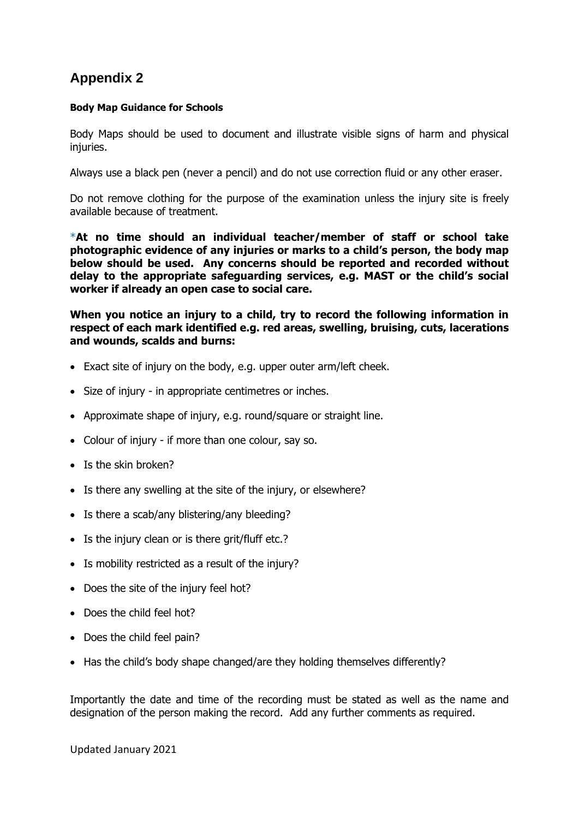### **Appendix 2**

#### **Body Map Guidance for Schools**

Body Maps should be used to document and illustrate visible signs of harm and physical injuries.

Always use a black pen (never a pencil) and do not use correction fluid or any other eraser.

Do not remove clothing for the purpose of the examination unless the injury site is freely available because of treatment.

\***At no time should an individual teacher/member of staff or school take photographic evidence of any injuries or marks to a child's person, the body map below should be used. Any concerns should be reported and recorded without delay to the appropriate safeguarding services, e.g. MAST or the child's social worker if already an open case to social care.**

**When you notice an injury to a child, try to record the following information in respect of each mark identified e.g. red areas, swelling, bruising, cuts, lacerations and wounds, scalds and burns:**

- Exact site of injury on the body, e.g. upper outer arm/left cheek.
- Size of injury in appropriate centimetres or inches.
- Approximate shape of injury, e.g. round/square or straight line.
- Colour of injury if more than one colour, say so.
- Is the skin broken?
- Is there any swelling at the site of the injury, or elsewhere?
- Is there a scab/any blistering/any bleeding?
- Is the injury clean or is there grit/fluff etc.?
- Is mobility restricted as a result of the injury?
- Does the site of the injury feel hot?
- Does the child feel hot?
- Does the child feel pain?
- Has the child's body shape changed/are they holding themselves differently?

Importantly the date and time of the recording must be stated as well as the name and designation of the person making the record. Add any further comments as required.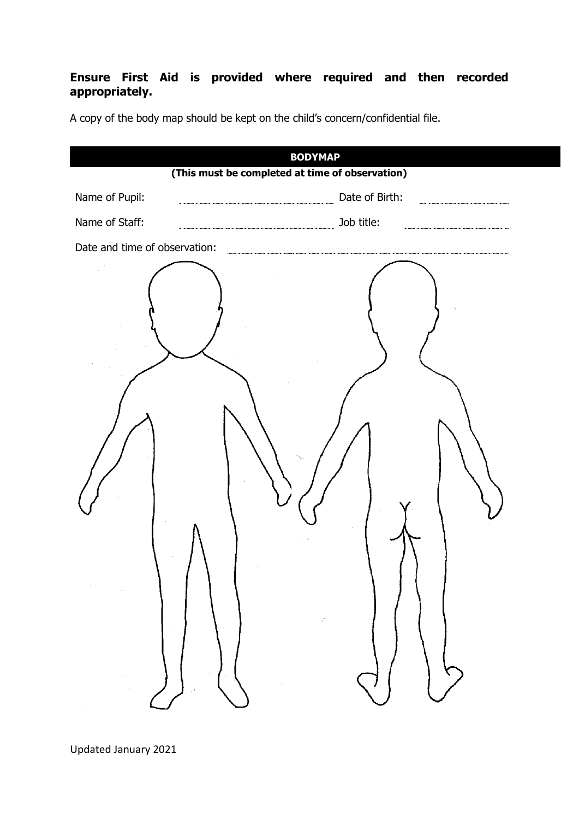#### **Ensure First Aid is provided where required and then recorded appropriately.**

| <b>BODYMAP</b><br>(This must be completed at time of observation) |                |  |  |  |  |
|-------------------------------------------------------------------|----------------|--|--|--|--|
| Name of Pupil:                                                    | Date of Birth: |  |  |  |  |
| Name of Staff:                                                    | Job title:     |  |  |  |  |
| Date and time of observation:                                     |                |  |  |  |  |
| $\zeta^{\sigma_{\rm{in}}}_{\rm{in}}$<br>$\sim$                    |                |  |  |  |  |

A copy of the body map should be kept on the child's concern/confidential file.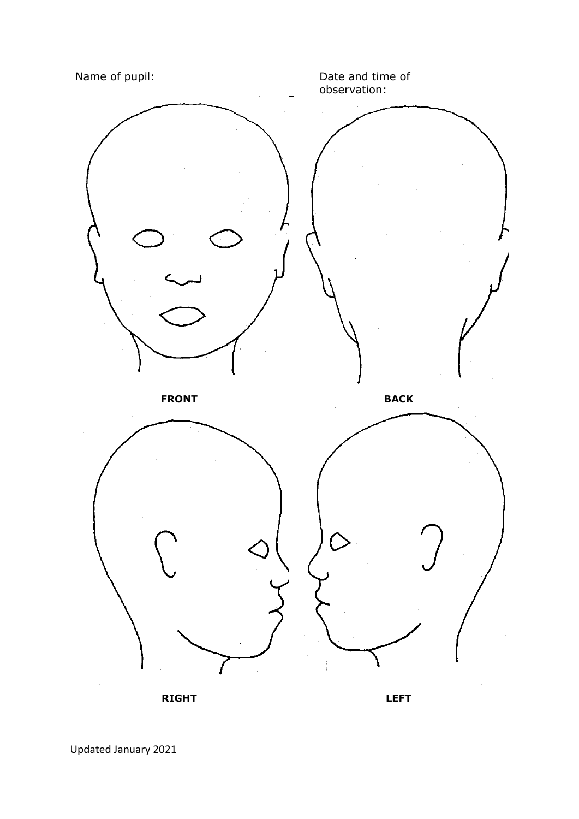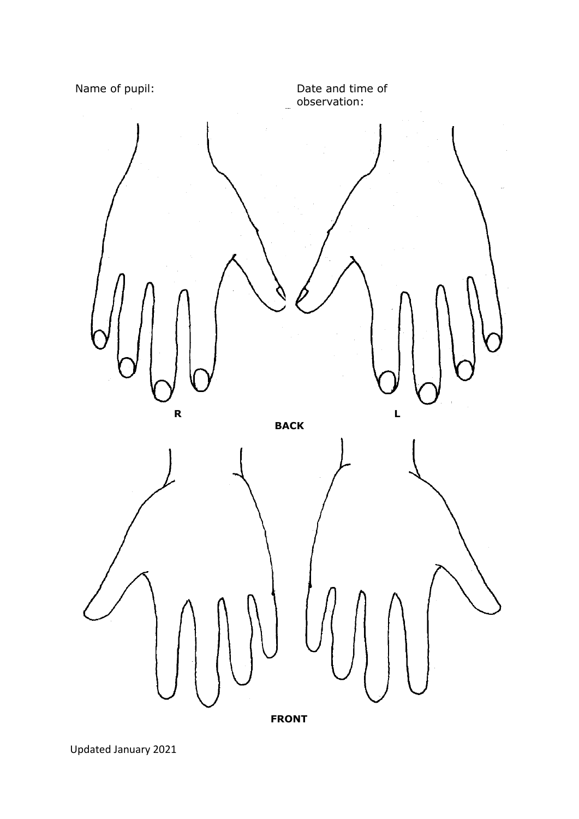